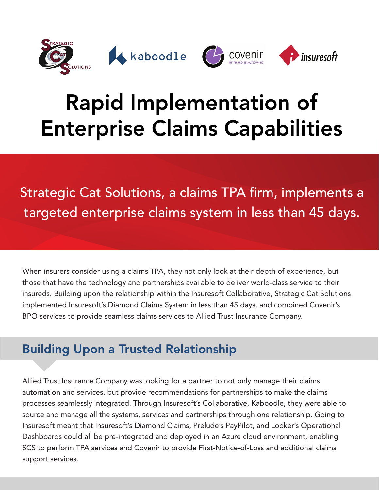

## Rapid Implementation of Enterprise Claims Capabilities

Strategic Cat Solutions, a claims TPA firm, implements a targeted enterprise claims system in less than 45 days.

When insurers consider using a claims TPA, they not only look at their depth of experience, but those that have the technology and partnerships available to deliver world-class service to their insureds. Building upon the relationship within the Insuresoft Collaborative, Strategic Cat Solutions implemented Insuresoft's Diamond Claims System in less than 45 days, and combined Covenir's BPO services to provide seamless claims services to Allied Trust Insurance Company.

## Building Upon a Trusted Relationship

Allied Trust Insurance Company was looking for a partner to not only manage their claims automation and services, but provide recommendations for partnerships to make the claims processes seamlessly integrated. Through Insuresoft's Collaborative, Kaboodle, they were able to source and manage all the systems, services and partnerships through one relationship. Going to Insuresoft meant that Insuresoft's Diamond Claims, Prelude's PayPilot, and Looker's Operational Dashboards could all be pre-integrated and deployed in an Azure cloud environment, enabling SCS to perform TPA services and Covenir to provide First-Notice-of-Loss and additional claims support services.